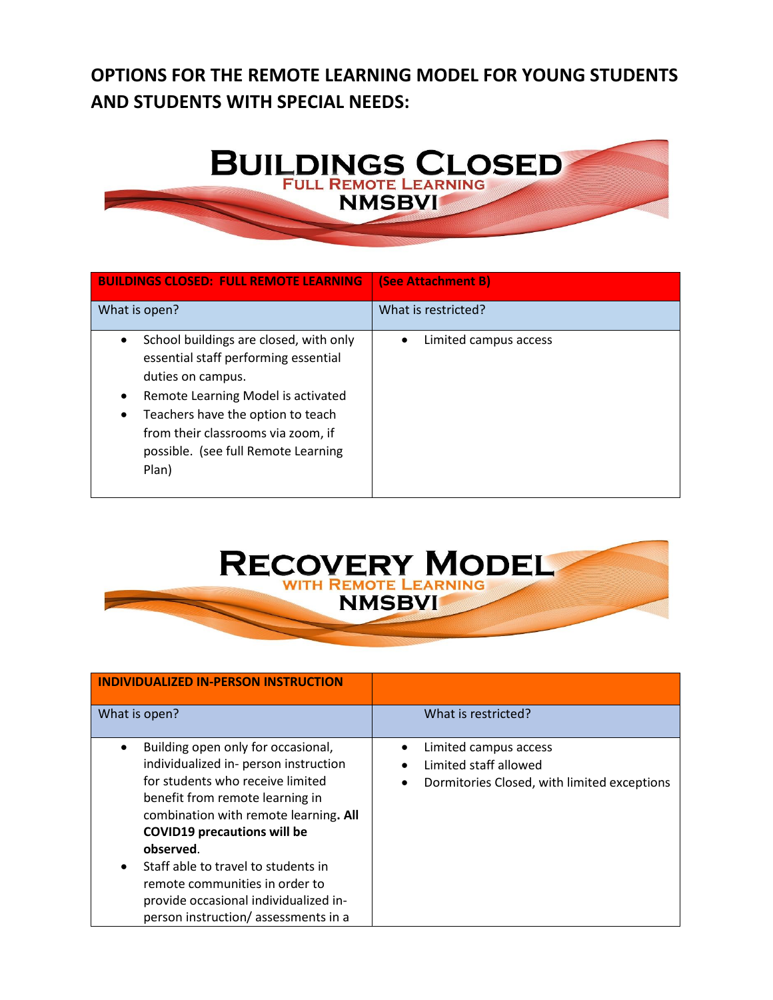## **OPTIONS FOR THE REMOTE LEARNING MODEL FOR YOUNG STUDENTS AND STUDENTS WITH SPECIAL NEEDS:**



| <b>BUILDINGS CLOSED: FULL REMOTE LEARNING</b>                                                                                                                                                                                                                        | (See Attachment B)    |
|----------------------------------------------------------------------------------------------------------------------------------------------------------------------------------------------------------------------------------------------------------------------|-----------------------|
| What is open?                                                                                                                                                                                                                                                        | What is restricted?   |
| School buildings are closed, with only<br>essential staff performing essential<br>duties on campus.<br>Remote Learning Model is activated<br>Teachers have the option to teach<br>from their classrooms via zoom, if<br>possible. (see full Remote Learning<br>Plan) | Limited campus access |



| <b>INDIVIDUALIZED IN-PERSON INSTRUCTION</b>                                                                                                                                                                                                                                                                                                                                                             |                                                                                               |
|---------------------------------------------------------------------------------------------------------------------------------------------------------------------------------------------------------------------------------------------------------------------------------------------------------------------------------------------------------------------------------------------------------|-----------------------------------------------------------------------------------------------|
| What is open?                                                                                                                                                                                                                                                                                                                                                                                           | What is restricted?                                                                           |
| Building open only for occasional,<br>individualized in- person instruction<br>for students who receive limited<br>benefit from remote learning in<br>combination with remote learning. All<br><b>COVID19 precautions will be</b><br>observed.<br>Staff able to travel to students in<br>remote communities in order to<br>provide occasional individualized in-<br>person instruction/assessments in a | Limited campus access<br>Limited staff allowed<br>Dormitories Closed, with limited exceptions |